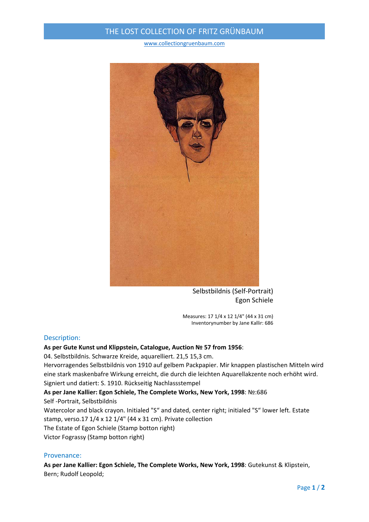## THE LOST COLLECTION OF FRITZ GRÜNBAUM

www.collectiongruenbaum.com



Selbstbildnis (Self‐Portrait) Egon Schiele

Measures: 17 1/4 x 12 1/4" (44 x 31 cm) Inventorynumber by Jane Kallir: 686

### Description:

**As per Gute Kunst und Klippstein, Catalogue, Auction № 57 from 1956**:

04. Selbstbildnis. Schwarze Kreide, aquarelliert. 21,5 15,3 cm.

Hervorragendes Selbstbildnis von 1910 auf gelbem Packpapier. Mir knappen plastischen Mitteln wird eine stark maskenbafre Wirkung erreicht, die durch die leichten Aquarellakzente noch erhöht wird. Signiert und datiert: S. 1910. Rückseitig Nachlassstempel

# **As per Jane Kallier: Egon Schiele, The Complete Works, New York, 1998**: №:686

Self ‐Portrait, Selbstbildnis

Watercolor and black crayon. Initialed "S" and dated, center right; initialed "S" lower left. Estate stamp, verso.17 1/4 x 12 1/4" (44 x 31 cm). Private collection The Estate of Egon Schiele (Stamp botton right)

Victor Fograssy (Stamp botton right)

#### Provenance:

**As per Jane Kallier: Egon Schiele, The Complete Works, New York, 1998**: Gutekunst & Klipstein, Bern; Rudolf Leopold;